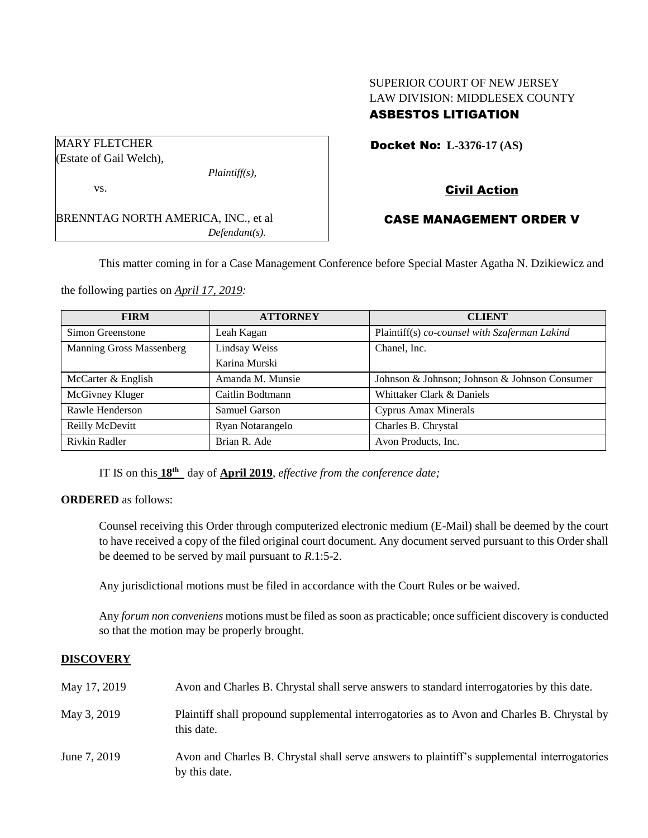# SUPERIOR COURT OF NEW JERSEY LAW DIVISION: MIDDLESEX COUNTY ASBESTOS LITIGATION

| <b>MARY FLETCHER</b>                 |                  |
|--------------------------------------|------------------|
| (Estate of Gail Welch),              |                  |
|                                      | $Plaintiff(s)$ , |
| VS.                                  |                  |
| BRENNTAG NORTH AMERICA, INC., et al. |                  |
|                                      | $Defendant(s)$ . |

## Docket No: **L-3376-17 (AS)**

# Civil Action

## CASE MANAGEMENT ORDER V

This matter coming in for a Case Management Conference before Special Master Agatha N. Dzikiewicz and

the following parties on *April 17, 2019:*

| <b>FIRM</b>              | <b>ATTORNEY</b>  | <b>CLIENT</b>                                 |
|--------------------------|------------------|-----------------------------------------------|
| Simon Greenstone         | Leah Kagan       | Plaintiff(s) co-counsel with Szaferman Lakind |
| Manning Gross Massenberg | Lindsay Weiss    | Chanel, Inc.                                  |
|                          | Karina Murski    |                                               |
| McCarter & English       | Amanda M. Munsie | Johnson & Johnson; Johnson & Johnson Consumer |
| McGivney Kluger          | Caitlin Bodtmann | Whittaker Clark & Daniels                     |
| Rawle Henderson          | Samuel Garson    | <b>Cyprus Amax Minerals</b>                   |
| Reilly McDevitt          | Ryan Notarangelo | Charles B. Chrystal                           |
| Rivkin Radler            | Brian R. Ade     | Avon Products, Inc.                           |

IT IS on this **18th** day of **April 2019**, *effective from the conference date;*

#### **ORDERED** as follows:

Counsel receiving this Order through computerized electronic medium (E-Mail) shall be deemed by the court to have received a copy of the filed original court document. Any document served pursuant to this Order shall be deemed to be served by mail pursuant to *R*.1:5-2.

Any jurisdictional motions must be filed in accordance with the Court Rules or be waived.

Any *forum non conveniens* motions must be filed as soon as practicable; once sufficient discovery is conducted so that the motion may be properly brought.

## **DISCOVERY**

| May 17, 2019 | Avon and Charles B. Chrystal shall serve answers to standard interrogatories by this date.                    |
|--------------|---------------------------------------------------------------------------------------------------------------|
| May 3, 2019  | Plaintiff shall propound supplemental interrogatories as to Avon and Charles B. Chrystal by<br>this date.     |
| June 7, 2019 | Avon and Charles B. Chrystal shall serve answers to plaintiff's supplemental interrogatories<br>by this date. |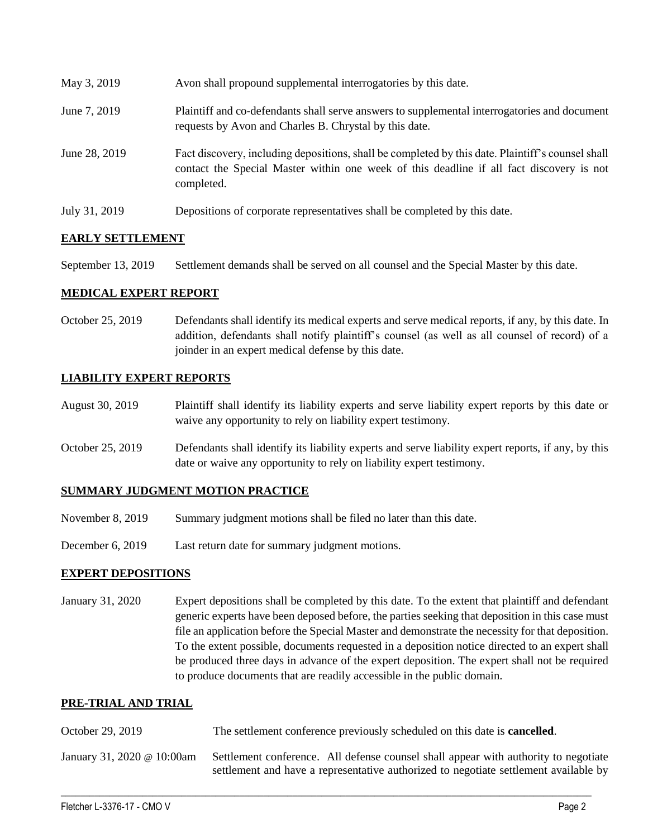| May 3, 2019   | Avon shall propound supplemental interrogatories by this date.                                                                                                                                              |
|---------------|-------------------------------------------------------------------------------------------------------------------------------------------------------------------------------------------------------------|
| June 7, 2019  | Plaintiff and co-defendants shall serve answers to supplemental interrogatories and document<br>requests by Avon and Charles B. Chrystal by this date.                                                      |
| June 28, 2019 | Fact discovery, including depositions, shall be completed by this date. Plaintiff's counsel shall<br>contact the Special Master within one week of this deadline if all fact discovery is not<br>completed. |
| July 31, 2019 | Depositions of corporate representatives shall be completed by this date.                                                                                                                                   |

## **EARLY SETTLEMENT**

September 13, 2019 Settlement demands shall be served on all counsel and the Special Master by this date.

#### **MEDICAL EXPERT REPORT**

October 25, 2019 Defendants shall identify its medical experts and serve medical reports, if any, by this date. In addition, defendants shall notify plaintiff's counsel (as well as all counsel of record) of a joinder in an expert medical defense by this date.

## **LIABILITY EXPERT REPORTS**

August 30, 2019 Plaintiff shall identify its liability experts and serve liability expert reports by this date or waive any opportunity to rely on liability expert testimony.

October 25, 2019 Defendants shall identify its liability experts and serve liability expert reports, if any, by this date or waive any opportunity to rely on liability expert testimony.

#### **SUMMARY JUDGMENT MOTION PRACTICE**

- November 8, 2019 Summary judgment motions shall be filed no later than this date.
- December 6, 2019 Last return date for summary judgment motions.

## **EXPERT DEPOSITIONS**

January 31, 2020 Expert depositions shall be completed by this date. To the extent that plaintiff and defendant generic experts have been deposed before, the parties seeking that deposition in this case must file an application before the Special Master and demonstrate the necessity for that deposition. To the extent possible, documents requested in a deposition notice directed to an expert shall be produced three days in advance of the expert deposition. The expert shall not be required to produce documents that are readily accessible in the public domain.

## **PRE-TRIAL AND TRIAL**

| October 29, 2019           | The settlement conference previously scheduled on this date is <b>cancelled</b> .                                                                                           |
|----------------------------|-----------------------------------------------------------------------------------------------------------------------------------------------------------------------------|
| January 31, 2020 @ 10:00am | Settlement conference. All defense counsel shall appear with authority to negotiate<br>settlement and have a representative authorized to negotiate settlement available by |

 $\_$  , and the set of the set of the set of the set of the set of the set of the set of the set of the set of the set of the set of the set of the set of the set of the set of the set of the set of the set of the set of th